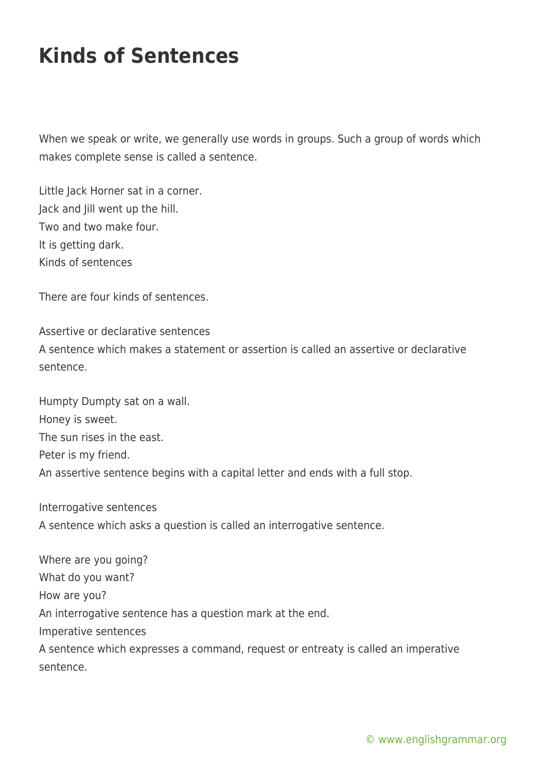## **Kinds of Sentences**

When we speak or write, we generally use words in groups. Such a group of words which makes complete sense is called a sentence.

Little Jack Horner sat in a corner. Jack and Jill went up the hill. Two and two make four. It is getting dark. Kinds of sentences

There are four kinds of sentences.

Assertive or declarative sentences A sentence which makes a statement or assertion is called an assertive or declarative sentence.

Humpty Dumpty sat on a wall. Honey is sweet. The sun rises in the east. Peter is my friend. An assertive sentence begins with a capital letter and ends with a full stop.

Interrogative sentences A sentence which asks a question is called an interrogative sentence.

Where are you going? What do you want? How are you? An interrogative sentence has a question mark at the end. Imperative sentences A sentence which expresses a command, request or entreaty is called an imperative sentence.